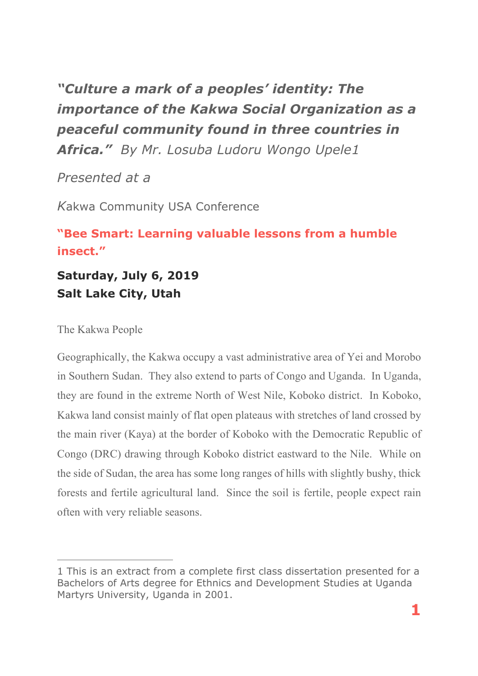*"Culture a mark of a peoples' identity: The importance of the Kakwa Social Organization as a peaceful community found in three countries in Africa." By Mr. Losuba Ludoru Wongo Upele1*

*Presented at a* 

*K*akwa Community USA Conference

# **"Bee Smart: Learning valuable lessons from a humble insect."**

**Saturday, July 6, 2019 Salt Lake City, Utah**

The Kakwa People

 $\overline{a}$ 

Geographically, the Kakwa occupy a vast administrative area of Yei and Morobo in Southern Sudan. They also extend to parts of Congo and Uganda. In Uganda, they are found in the extreme North of West Nile, Koboko district. In Koboko, Kakwa land consist mainly of flat open plateaus with stretches of land crossed by the main river (Kaya) at the border of Koboko with the Democratic Republic of Congo (DRC) drawing through Koboko district eastward to the Nile. While on the side of Sudan, the area has some long ranges of hills with slightly bushy, thick forests and fertile agricultural land. Since the soil is fertile, people expect rain often with very reliable seasons.

<sup>1</sup> This is an extract from a complete first class dissertation presented for a Bachelors of Arts degree for Ethnics and Development Studies at Uganda Martyrs University, Uganda in 2001.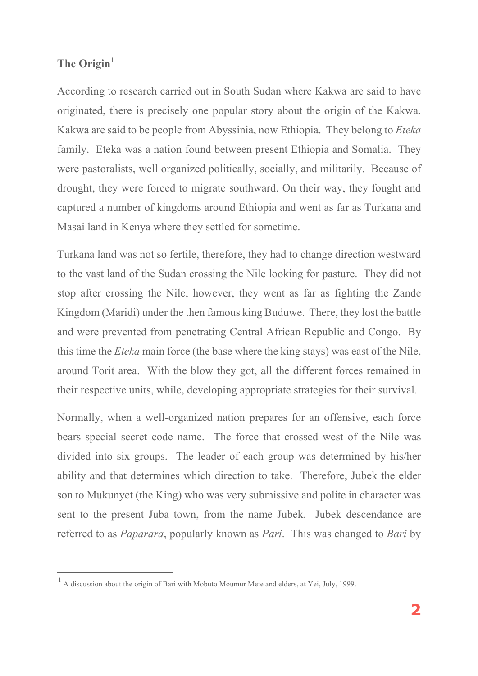# The Origin<sup>1</sup>

 $\overline{a}$ 

According to research carried out in South Sudan where Kakwa are said to have originated, there is precisely one popular story about the origin of the Kakwa. Kakwa are said to be people from Abyssinia, now Ethiopia. They belong to *Eteka* family. Eteka was a nation found between present Ethiopia and Somalia. They were pastoralists, well organized politically, socially, and militarily. Because of drought, they were forced to migrate southward. On their way, they fought and captured a number of kingdoms around Ethiopia and went as far as Turkana and Masai land in Kenya where they settled for sometime.

Turkana land was not so fertile, therefore, they had to change direction westward to the vast land of the Sudan crossing the Nile looking for pasture. They did not stop after crossing the Nile, however, they went as far as fighting the Zande Kingdom (Maridi) under the then famous king Buduwe. There, they lost the battle and were prevented from penetrating Central African Republic and Congo. By this time the *Eteka* main force (the base where the king stays) was east of the Nile, around Torit area. With the blow they got, all the different forces remained in their respective units, while, developing appropriate strategies for their survival.

Normally, when a well-organized nation prepares for an offensive, each force bears special secret code name. The force that crossed west of the Nile was divided into six groups. The leader of each group was determined by his/her ability and that determines which direction to take. Therefore, Jubek the elder son to Mukunyet (the King) who was very submissive and polite in character was sent to the present Juba town, from the name Jubek. Jubek descendance are referred to as *Paparara*, popularly known as *Pari*. This was changed to *Bari* by

<sup>1</sup> A discussion about the origin of Bari with Mobuto Moumur Mete and elders, at Yei, July, 1999.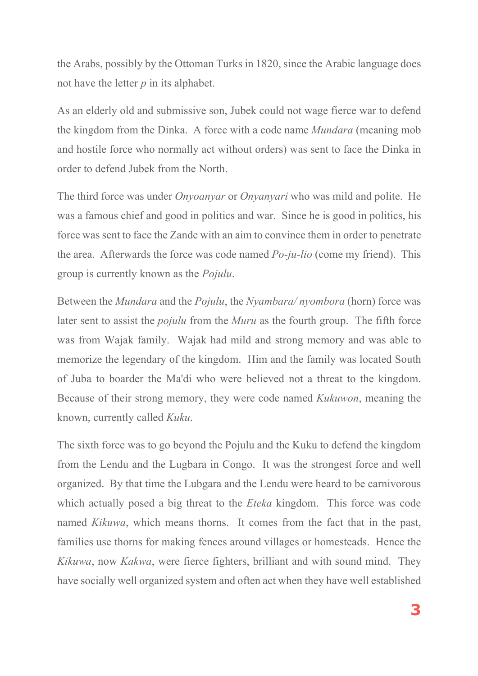the Arabs, possibly by the Ottoman Turks in 1820, since the Arabic language does not have the letter *p* in its alphabet.

As an elderly old and submissive son, Jubek could not wage fierce war to defend the kingdom from the Dinka. A force with a code name *Mundara* (meaning mob and hostile force who normally act without orders) was sent to face the Dinka in order to defend Jubek from the North.

The third force was under *Onyoanyar* or *Onyanyari* who was mild and polite. He was a famous chief and good in politics and war. Since he is good in politics, his force was sent to face the Zande with an aim to convince them in order to penetrate the area. Afterwards the force was code named *Po-ju-lio* (come my friend). This group is currently known as the *Pojulu*.

Between the *Mundara* and the *Pojulu*, the *Nyambara/ nyombora* (horn) force was later sent to assist the *pojulu* from the *Muru* as the fourth group. The fifth force was from Wajak family. Wajak had mild and strong memory and was able to memorize the legendary of the kingdom. Him and the family was located South of Juba to boarder the Ma'di who were believed not a threat to the kingdom. Because of their strong memory, they were code named *Kukuwon*, meaning the known, currently called *Kuku*.

The sixth force was to go beyond the Pojulu and the Kuku to defend the kingdom from the Lendu and the Lugbara in Congo. It was the strongest force and well organized. By that time the Lubgara and the Lendu were heard to be carnivorous which actually posed a big threat to the *Eteka* kingdom. This force was code named *Kikuwa*, which means thorns. It comes from the fact that in the past, families use thorns for making fences around villages or homesteads. Hence the *Kikuwa*, now *Kakwa*, were fierce fighters, brilliant and with sound mind. They have socially well organized system and often act when they have well established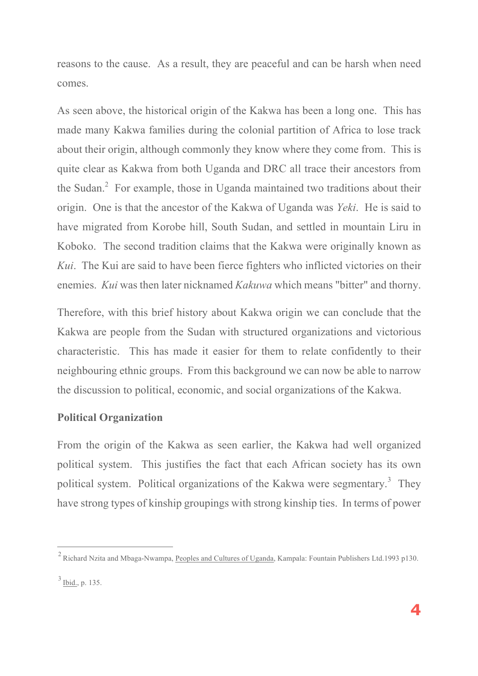reasons to the cause. As a result, they are peaceful and can be harsh when need comes.

As seen above, the historical origin of the Kakwa has been a long one. This has made many Kakwa families during the colonial partition of Africa to lose track about their origin, although commonly they know where they come from. This is quite clear as Kakwa from both Uganda and DRC all trace their ancestors from the Sudan.<sup>2</sup> For example, those in Uganda maintained two traditions about their origin. One is that the ancestor of the Kakwa of Uganda was *Yeki*. He is said to have migrated from Korobe hill, South Sudan, and settled in mountain Liru in Koboko. The second tradition claims that the Kakwa were originally known as *Kui*. The Kui are said to have been fierce fighters who inflicted victories on their enemies. *Kui* was then later nicknamed *Kakuwa* which means "bitter" and thorny.

Therefore, with this brief history about Kakwa origin we can conclude that the Kakwa are people from the Sudan with structured organizations and victorious characteristic. This has made it easier for them to relate confidently to their neighbouring ethnic groups. From this background we can now be able to narrow the discussion to political, economic, and social organizations of the Kakwa.

### **Political Organization**

From the origin of the Kakwa as seen earlier, the Kakwa had well organized political system. This justifies the fact that each African society has its own political system. Political organizations of the Kakwa were segmentary.<sup>3</sup> They have strong types of kinship groupings with strong kinship ties. In terms of power

 $\overline{a}$ 

<sup>2</sup> Richard Nzita and Mbaga-Nwampa, Peoples and Cultures of Uganda, Kampala: Fountain Publishers Ltd.1993 p130.

 $3$  Ibid., p. 135.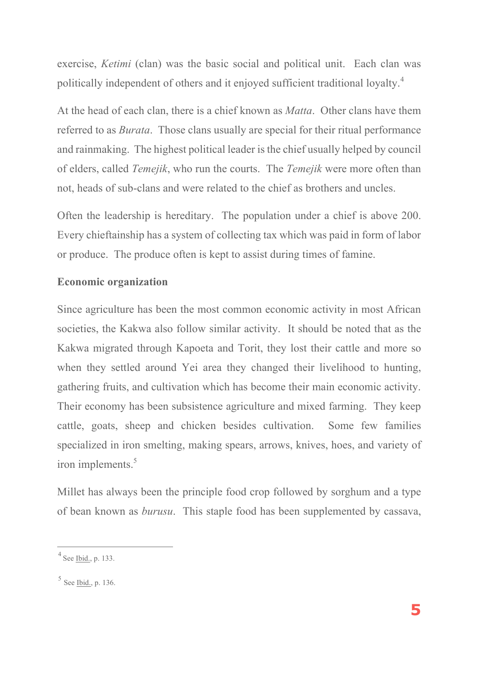exercise, *Ketimi* (clan) was the basic social and political unit. Each clan was politically independent of others and it enjoyed sufficient traditional loyalty.<sup>4</sup>

At the head of each clan, there is a chief known as *Matta*. Other clans have them referred to as *Burata*. Those clans usually are special for their ritual performance and rainmaking. The highest political leader is the chief usually helped by council of elders, called *Temejik*, who run the courts. The *Temejik* were more often than not, heads of sub-clans and were related to the chief as brothers and uncles.

Often the leadership is hereditary. The population under a chief is above 200. Every chieftainship has a system of collecting tax which was paid in form of labor or produce. The produce often is kept to assist during times of famine.

## **Economic organization**

Since agriculture has been the most common economic activity in most African societies, the Kakwa also follow similar activity. It should be noted that as the Kakwa migrated through Kapoeta and Torit, they lost their cattle and more so when they settled around Yei area they changed their livelihood to hunting, gathering fruits, and cultivation which has become their main economic activity. Their economy has been subsistence agriculture and mixed farming. They keep cattle, goats, sheep and chicken besides cultivation. Some few families specialized in iron smelting, making spears, arrows, knives, hoes, and variety of iron implements.<sup>5</sup>

Millet has always been the principle food crop followed by sorghum and a type of bean known as *burusu*. This staple food has been supplemented by cassava,

 $\overline{a}$ 

 $4$  See Ibid., p. 133.

 $5$  See Ibid., p. 136.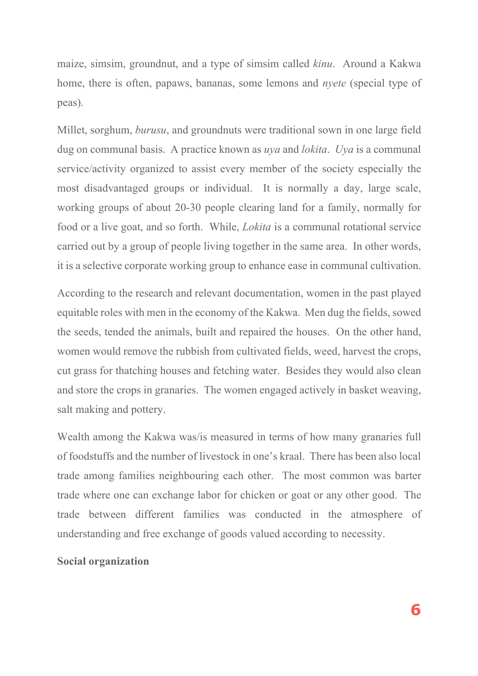maize, simsim, groundnut, and a type of simsim called *kinu*. Around a Kakwa home, there is often, papaws, bananas, some lemons and *nyete* (special type of peas).

Millet, sorghum, *burusu*, and groundnuts were traditional sown in one large field dug on communal basis. A practice known as *uya* and *lokita*. *Uya* is a communal service/activity organized to assist every member of the society especially the most disadvantaged groups or individual. It is normally a day, large scale, working groups of about 20-30 people clearing land for a family, normally for food or a live goat, and so forth. While, *Lokita* is a communal rotational service carried out by a group of people living together in the same area. In other words, it is a selective corporate working group to enhance ease in communal cultivation.

According to the research and relevant documentation, women in the past played equitable roles with men in the economy of the Kakwa. Men dug the fields, sowed the seeds, tended the animals, built and repaired the houses. On the other hand, women would remove the rubbish from cultivated fields, weed, harvest the crops, cut grass for thatching houses and fetching water. Besides they would also clean and store the crops in granaries. The women engaged actively in basket weaving, salt making and pottery.

Wealth among the Kakwa was/is measured in terms of how many granaries full of foodstuffs and the number of livestock in one's kraal. There has been also local trade among families neighbouring each other. The most common was barter trade where one can exchange labor for chicken or goat or any other good. The trade between different families was conducted in the atmosphere of understanding and free exchange of goods valued according to necessity.

#### **Social organization**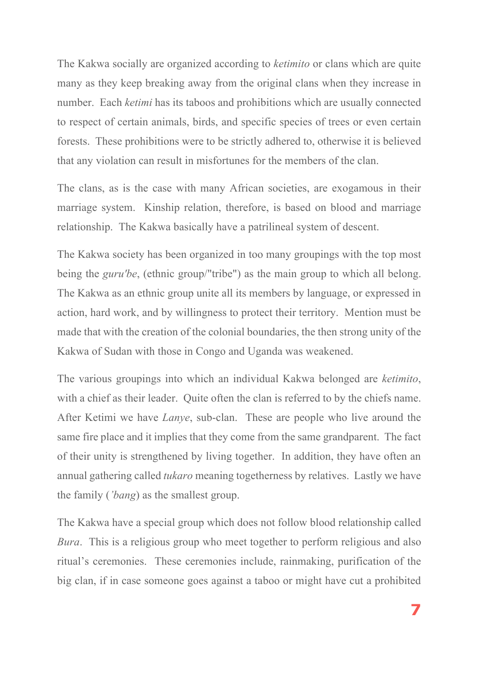The Kakwa socially are organized according to *ketimito* or clans which are quite many as they keep breaking away from the original clans when they increase in number. Each *ketimi* has its taboos and prohibitions which are usually connected to respect of certain animals, birds, and specific species of trees or even certain forests. These prohibitions were to be strictly adhered to, otherwise it is believed that any violation can result in misfortunes for the members of the clan.

The clans, as is the case with many African societies, are exogamous in their marriage system. Kinship relation, therefore, is based on blood and marriage relationship. The Kakwa basically have a patrilineal system of descent.

The Kakwa society has been organized in too many groupings with the top most being the *guru'be*, (ethnic group/"tribe") as the main group to which all belong. The Kakwa as an ethnic group unite all its members by language, or expressed in action, hard work, and by willingness to protect their territory. Mention must be made that with the creation of the colonial boundaries, the then strong unity of the Kakwa of Sudan with those in Congo and Uganda was weakened.

The various groupings into which an individual Kakwa belonged are *ketimito*, with a chief as their leader. Quite often the clan is referred to by the chiefs name. After Ketimi we have *Lanye*, sub-clan. These are people who live around the same fire place and it implies that they come from the same grandparent. The fact of their unity is strengthened by living together. In addition, they have often an annual gathering called *tukaro* meaning togetherness by relatives. Lastly we have the family (*'bang*) as the smallest group.

The Kakwa have a special group which does not follow blood relationship called *Bura*. This is a religious group who meet together to perform religious and also ritual's ceremonies. These ceremonies include, rainmaking, purification of the big clan, if in case someone goes against a taboo or might have cut a prohibited